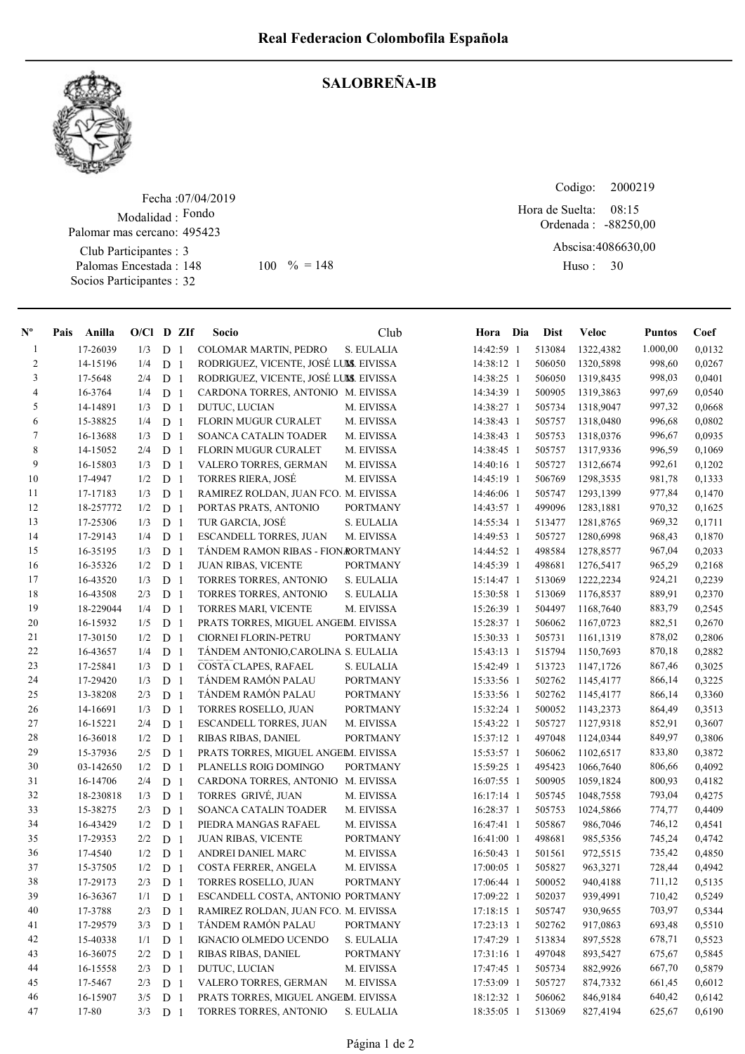

## SALOBREÑA-IB

Fecha : 07/04/2019 Modalidad : Fondo Club Participantes : 3 Palomas Encestada : 148 Socios Participantes : 32 Palomar mas cercano: 495423 148 100 % = 148 Huso: 30

Codigo: Ordenada : -88250,00 Abscisa: 4086630,00 Huso: 30 08:15 Hora de Suelta:

| $N^{\circ}$    | Pais | Anilla    | $O/Cl$ D ZIf |                |                | Socio                                  | Club            | Hora Dia     | <b>Dist</b> | <b>Veloc</b> | <b>Puntos</b> | Coef   |
|----------------|------|-----------|--------------|----------------|----------------|----------------------------------------|-----------------|--------------|-------------|--------------|---------------|--------|
| $\mathbf{1}$   |      | 17-26039  | 1/3          | D <sub>1</sub> |                | COLOMAR MARTIN, PEDRO                  | S. EULALIA      | 14:42:59 1   | 513084      | 1322,4382    | 1.000,00      | 0,0132 |
| $\overline{c}$ |      | 14-15196  | 1/4          | ${\rm D}$      | -1             | RODRIGUEZ, VICENTE, JOSÉ LUMS. EIVISSA |                 | 14:38:12 1   | 506050      | 1320,5898    | 998,60        | 0,0267 |
| 3              |      | 17-5648   | 2/4          | D <sub>1</sub> |                | RODRIGUEZ, VICENTE, JOSÉ LUMS. EIVISSA |                 | 14:38:25 1   | 506050      | 1319,8435    | 998,03        | 0,0401 |
| 4              |      | 16-3764   | 1/4          | D <sub>1</sub> |                | CARDONA TORRES, ANTONIO M. EIVISSA     |                 | 14:34:39 1   | 500905      | 1319,3863    | 997,69        | 0,0540 |
| 5              |      | 14-14891  | 1/3          | D <sub>1</sub> |                | DUTUC, LUCIAN                          | M. EIVISSA      | 14:38:27 1   | 505734      | 1318,9047    | 997,32        | 0,0668 |
| 6              |      | 15-38825  | 1/4          | D <sub>1</sub> |                | FLORIN MUGUR CURALET                   | M. EIVISSA      | 14:38:43 1   | 505757      | 1318,0480    | 996,68        | 0,0802 |
| 7              |      | 16-13688  | 1/3          | D              | -1             | SOANCA CATALIN TOADER                  | M. EIVISSA      | 14:38:43 1   | 505753      | 1318,0376    | 996,67        | 0,0935 |
| $\,$ $\,$      |      | 14-15052  | 2/4          | D              | -1             | FLORIN MUGUR CURALET                   | M. EIVISSA      | 14:38:45 1   | 505757      | 1317,9336    | 996,59        | 0,1069 |
| 9              |      | 16-15803  | 1/3          | D              | -1             | VALERO TORRES, GERMAN                  | M. EIVISSA      | 14:40:16 1   | 505727      | 1312,6674    | 992,61        | 0,1202 |
| 10             |      | 17-4947   | 1/2          | $\mathbf D$    | -1             | <b>TORRES RIERA, JOSÉ</b>              | M. EIVISSA      | 14:45:19 1   | 506769      | 1298,3535    | 981,78        | 0,1333 |
| 11             |      | 17-17183  | 1/3          | ${\bf D}$      | -1             | RAMIREZ ROLDAN, JUAN FCO. M. EIVISSA   |                 | 14:46:06 1   | 505747      | 1293,1399    | 977,84        | 0,1470 |
| 12             |      | 18-257772 | 1/2          | $\mathbf D$    | -1             | PORTAS PRATS, ANTONIO                  | <b>PORTMANY</b> | 14:43:57 1   | 499096      | 1283,1881    | 970,32        | 0,1625 |
| 13             |      | 17-25306  | 1/3          | $\mathbf D$    | -1             | TUR GARCIA, JOSÉ                       | S. EULALIA      | 14:55:34 1   | 513477      | 1281,8765    | 969,32        | 0,1711 |
| 14             |      | 17-29143  | 1/4          | D              | -1             | ESCANDELL TORRES, JUAN                 | M. EIVISSA      | 14:49:53 1   | 505727      | 1280,6998    | 968,43        | 0,1870 |
| 15             |      | 16-35195  | 1/3          | D              | -1             | TÁNDEM RAMON RIBAS - FION RORTMANY     |                 | 14:44:52 1   | 498584      | 1278,8577    | 967,04        | 0,2033 |
| 16             |      | 16-35326  | 1/2          | D <sub>1</sub> |                | <b>JUAN RIBAS, VICENTE</b>             | <b>PORTMANY</b> | 14:45:39 1   | 498681      | 1276,5417    | 965,29        | 0,2168 |
| 17             |      | 16-43520  | 1/3          | D <sub>1</sub> |                | TORRES TORRES, ANTONIO                 | S. EULALIA      | 15:14:47 1   | 513069      | 1222,2234    | 924,21        | 0,2239 |
| 18             |      | 16-43508  | 2/3          | D <sub>1</sub> |                | TORRES TORRES, ANTONIO                 | S. EULALIA      | 15:30:58 1   | 513069      | 1176,8537    | 889,91        | 0,2370 |
| 19             |      | 18-229044 | 1/4          | D <sub>1</sub> |                | TORRES MARI, VICENTE                   | M. EIVISSA      | 15:26:39 1   | 504497      | 1168,7640    | 883,79        | 0,2545 |
| 20             |      | 16-15932  | 1/5          | D              | -1             | PRATS TORRES, MIGUEL ANGEM. EIVISSA    |                 | 15:28:37 1   | 506062      | 1167,0723    | 882,51        | 0,2670 |
| 21             |      | 17-30150  | 1/2          | D              | -1             | CIORNEI FLORIN-PETRU                   | <b>PORTMANY</b> | 15:30:33 1   | 505731      | 1161,1319    | 878,02        | 0,2806 |
| $22\,$         |      | 16-43657  | 1/4          | ${\bf D}$      | -1             | TÁNDEM ANTONIO, CAROLINA S. EULALIA    |                 | 15:43:13 1   | 515794      | 1150,7693    | 870,18        | 0,2882 |
| 23             |      | 17-25841  | 1/3          | D              | -1             | COSTA CLAPES, RAFAEL                   | S. EULALIA      | 15:42:49 1   | 513723      | 1147,1726    | 867,46        | 0,3025 |
| 24             |      | 17-29420  | 1/3          | ${\bf D}$      | -1             | TÁNDEM RAMÓN PALAU                     | <b>PORTMANY</b> | 15:33:56 1   | 502762      | 1145,4177    | 866,14        | 0,3225 |
| 25             |      | 13-38208  | 2/3          | D              | $\overline{1}$ | TÁNDEM RAMÓN PALAU                     | <b>PORTMANY</b> | 15:33:56 1   | 502762      | 1145,4177    | 866,14        | 0,3360 |
| 26             |      | 14-16691  | 1/3          | ${\rm D}$      | -1             | TORRES ROSELLO, JUAN                   | <b>PORTMANY</b> | 15:32:24 1   | 500052      | 1143,2373    | 864,49        | 0,3513 |
| 27             |      | 16-15221  | 2/4          | ${\rm D}$      | -1             | ESCANDELL TORRES, JUAN                 | M. EIVISSA      | 15:43:22 1   | 505727      | 1127,9318    | 852,91        | 0,3607 |
| $28\,$         |      | 16-36018  | 1/2          | D <sub>1</sub> |                | RIBAS RIBAS, DANIEL                    | <b>PORTMANY</b> | 15:37:12 1   | 497048      | 1124,0344    | 849,97        | 0,3806 |
| 29             |      | 15-37936  | 2/5          | D <sub>1</sub> |                | PRATS TORRES, MIGUEL ANGEM. EIVISSA    |                 | 15:53:57 1   | 506062      | 1102,6517    | 833,80        | 0,3872 |
| 30             |      | 03-142650 | 1/2          | D <sub>1</sub> |                | PLANELLS ROIG DOMINGO                  | <b>PORTMANY</b> | 15:59:25 1   | 495423      | 1066,7640    | 806,66        | 0,4092 |
| 31             |      | 16-14706  | 2/4          | D <sub>1</sub> |                | CARDONA TORRES, ANTONIO M. EIVISSA     |                 | 16:07:55 1   | 500905      | 1059,1824    | 800,93        | 0,4182 |
| 32             |      | 18-230818 | 1/3          | D <sub>1</sub> |                | TORRES GRIVÉ, JUAN                     | M. EIVISSA      | 16:17:14 1   | 505745      | 1048,7558    | 793,04        | 0,4275 |
| 33             |      | 15-38275  | 2/3          | D              | -1             | SOANCA CATALIN TOADER                  | M. EIVISSA      | 16:28:37 1   | 505753      | 1024,5866    | 774,77        | 0,4409 |
| 34             |      | 16-43429  | 1/2          | $\mathbf D$    | -1             | PIEDRA MANGAS RAFAEL                   | M. EIVISSA      | 16:47:41 1   | 505867      | 986,7046     | 746,12        | 0,4541 |
| 35             |      | 17-29353  | 2/2          | D              | -1             | <b>JUAN RIBAS, VICENTE</b>             | <b>PORTMANY</b> | 16:41:00 1   | 498681      | 985,5356     | 745,24        | 0,4742 |
| 36             |      | 17-4540   | 1/2          | D              | $\overline{1}$ | ANDREI DANIEL MARC                     | M. EIVISSA      | 16:50:43 1   | 501561      | 972,5515     | 735,42        | 0,4850 |
| 37             |      | 15-37505  | 1/2          | D              | $\overline{1}$ | COSTA FERRER, ANGELA                   | M. EIVISSA      | $17:00:05$ 1 | 505827      | 963,3271     | 728,44        | 0,4942 |
| 38             |      | 17-29173  | 2/3          | D <sub>1</sub> |                | TORRES ROSELLO, JUAN                   | <b>PORTMANY</b> | 17:06:44 1   | 500052      | 940,4188     | 711,12        | 0,5135 |
| 39             |      | 16-36367  | 1/1          | D <sub>1</sub> |                | ESCANDELL COSTA, ANTONIO PORTMANY      |                 | 17:09:22 1   | 502037      | 939,4991     | 710,42        | 0,5249 |
| 40             |      | 17-3788   | 2/3          | D <sub>1</sub> |                | RAMIREZ ROLDAN, JUAN FCO. M. EIVISSA   |                 | 17:18:15 1   | 505747      | 930,9655     | 703,97        | 0,5344 |
| 41             |      | 17-29579  | 3/3          | D <sub>1</sub> |                | TÁNDEM RAMÓN PALAU                     | <b>PORTMANY</b> | 17:23:13 1   | 502762      | 917,0863     | 693,48        | 0,5510 |
| 42             |      | 15-40338  | 1/1          | D <sub>1</sub> |                | IGNACIO OLMEDO UCENDO                  | S. EULALIA      | 17:47:29 1   | 513834      | 897,5528     | 678,71        | 0,5523 |
| 43             |      | 16-36075  | 2/2          | D <sub>1</sub> |                | RIBAS RIBAS, DANIEL                    | <b>PORTMANY</b> | 17:31:16 1   | 497048      | 893,5427     | 675,67        | 0,5845 |
| 44             |      | 16-15558  | 2/3          | D <sub>1</sub> |                | DUTUC, LUCIAN                          | M. EIVISSA      | 17:47:45 1   | 505734      | 882,9926     | 667,70        | 0,5879 |
| 45             |      | 17-5467   | 2/3          | D <sub>1</sub> |                | VALERO TORRES, GERMAN                  | M. EIVISSA      | 17:53:09 1   | 505727      | 874,7332     | 661,45        | 0,6012 |
| 46             |      | 16-15907  | 3/5          | D <sub>1</sub> |                | PRATS TORRES, MIGUEL ANGEM. EIVISSA    |                 | 18:12:32 1   | 506062      | 846,9184     | 640,42        | 0,6142 |
| 47             |      | 17-80     | 3/3          | D 1            |                | TORRES TORRES, ANTONIO                 | S. EULALIA      | 18:35:05 1   | 513069      | 827,4194     | 625,67        | 0,6190 |
|                |      |           |              |                |                |                                        |                 |              |             |              |               |        |